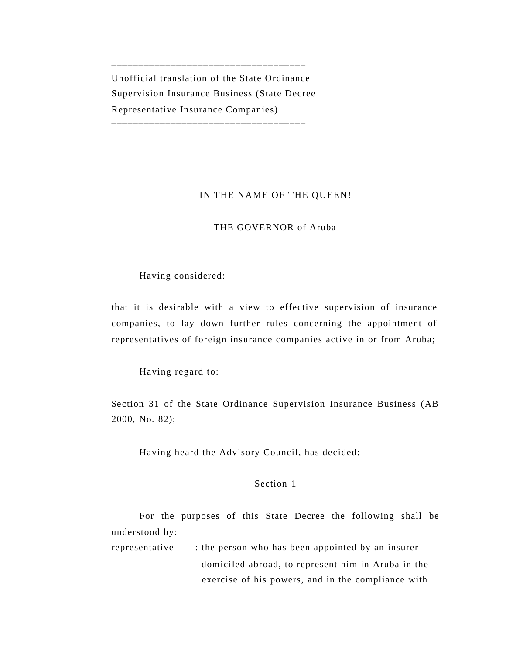Unofficial translation of the State Ordinance Supervision Insurance Business (State Decree Representative Insurance Companies) \_\_\_\_\_\_\_\_\_\_\_\_\_\_\_\_\_\_\_\_\_\_\_\_\_\_\_\_\_\_\_\_\_\_\_\_

\_\_\_\_\_\_\_\_\_\_\_\_\_\_\_\_\_\_\_\_\_\_\_\_\_\_\_\_\_\_\_\_\_\_\_\_

## IN THE NAME OF THE QUEEN!

## THE GOVERNOR of Aruba

## Having considered:

that it is desirable with a view to effective supervision of insurance companies, to lay down further rules concerning the appointment of representatives of foreign insurance companies active in or from Aruba;

Having regard to:

Section 31 of the State Ordinance Supervision Insurance Business (AB 2000, No. 82);

Having heard the Advisory Council, has decided:

## Section 1

For the purposes of this State Decree the following shall be understood by:

representative : the person who has been appointed by an insurer domiciled abroad, to represent him in Aruba in the exercise of his powers, and in the compliance with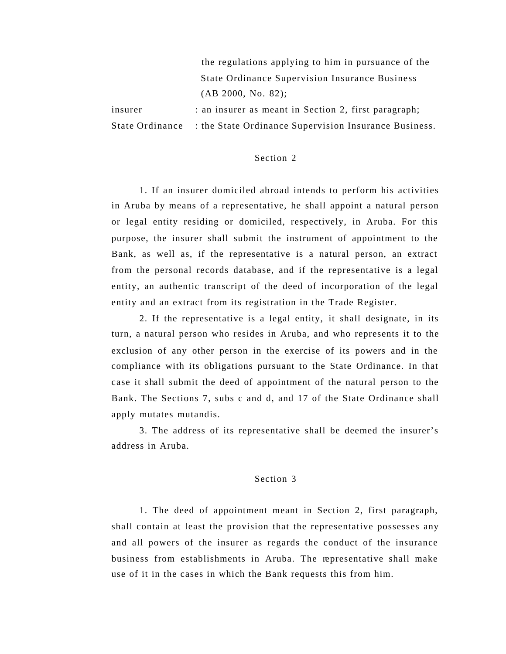the regulations applying to him in pursuance of the State Ordinance Supervision Insurance Business (AB 2000, No. 82);

insurer : an insurer as meant in Section 2, first paragraph; State Ordinance : the State Ordinance Supervision Insurance Business.

#### Section 2

1. If an insurer domiciled abroad intends to perform his activities in Aruba by means of a representative, he shall appoint a natural person or legal entity residing or domiciled, respectively, in Aruba. For this purpose, the insurer shall submit the instrument of appointment to the Bank, as well as, if the representative is a natural person, an extract from the personal records database, and if the representative is a legal entity, an authentic transcript of the deed of incorporation of the legal entity and an extract from its registration in the Trade Register.

2. If the representative is a legal entity, it shall designate, in its turn, a natural person who resides in Aruba, and who represents it to the exclusion of any other person in the exercise of its powers and in the compliance with its obligations pursuant to the State Ordinance. In that case it shall submit the deed of appointment of the natural person to the Bank. The Sections 7, subs c and d, and 17 of the State Ordinance shall apply mutates mutandis.

3. The address of its representative shall be deemed the insurer's address in Aruba.

# Section 3

1. The deed of appointment meant in Section 2, first paragraph, shall contain at least the provision that the representative possesses any and all powers of the insurer as regards the conduct of the insurance business from establishments in Aruba. The representative shall make use of it in the cases in which the Bank requests this from him.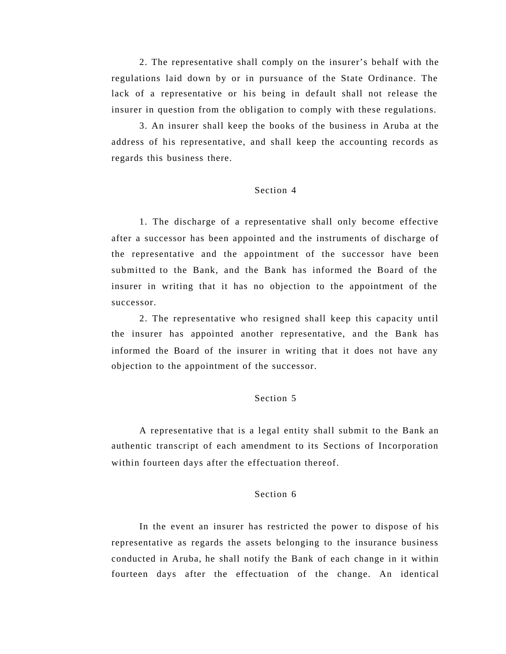2. The representative shall comply on the insurer's behalf with the regulations laid down by or in pursuance of the State Ordinance. The lack of a representative or his being in default shall not release the insurer in question from the obligation to comply with these regulations.

3. An insurer shall keep the books of the business in Aruba at the address of his representative, and shall keep the accounting records as regards this business there.

### Section 4

1. The discharge of a representative shall only become effective after a successor has been appointed and the instruments of discharge of the representative and the appointment of the successor have been submitted to the Bank, and the Bank has informed the Board of the insurer in writing that it has no objection to the appointment of the successor.

2. The representative who resigned shall keep this capacity until the insurer has appointed another representative, and the Bank has informed the Board of the insurer in writing that it does not have any objection to the appointment of the successor.

## Section 5

A representative that is a legal entity shall submit to the Bank an authentic transcript of each amendment to its Sections of Incorporation within fourteen days after the effectuation thereof.

## Section 6

In the event an insurer has restricted the power to dispose of his representative as regards the assets belonging to the insurance business conducted in Aruba, he shall notify the Bank of each change in it within fourteen days after the effectuation of the change. An identical